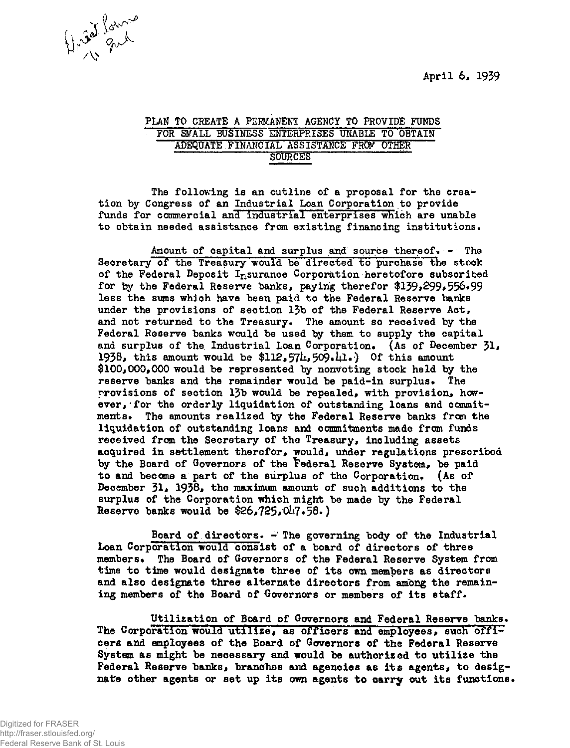**April 6, 1939** 



## PLAN TO CREATE A PERMANENT AGENCY TO PROVIDE FUNDS FOR SMALL BUSINESS ENTERPRISES UNABLE TO OBTAIN ADEQUATE FINANCIAL ASSISTANCE FRCF OTHER SOURCES "

The following is an outline of a proposal for the creation by Congress of an Industrial Loan Corporation to provide funds for commercial and industrial enterprises which are unable to obtain needed assistance from existing financing institutions.

Amount of capital and surplus and source thereof. - The Secretary of the Treasury would be directed to purchase the stock **of the Federal Deposit Insurance Corporation heretofore subscribed**  for by the Federal Reserve banks, paying therefor \$139,299,556.99 **less the sums which have been paid to the Federal Reserve banks under the provisions of section 13b of the Federal Reserve Act,**  and not returned to the Treasury. The amount so received by the Federal Reserve banks would be used by them to supply the capital and surplus of the Industrial Loan Corporation. (As of December 31, **1938, this amount would be \$112,57U,509.Ul\*) Of this amount \$100j000,000 would be represented by nonvoting stock held by the**  reserve banks and the remainder would be paid-in surplus. The **provisions of section 13b would be repealed, with provision, how**ever, for the orderly liquidation of outstanding loans and commit**ments. The amounts realized by the Federal Reserve banks from the liquidation of outstanding loans and commitments made from funds received from the Secretary of the Treasury, including assets acquired in settlement therofor, would, under regulations prescribed by the Board of Governors of the federal Reserve System, be paid**  to and become a part of the surplus of tho Corporation. (As of December 31, 1938, the maximum amount of such additions to the **surplus of the Corporation which might be made by the Federal Reserve banks would be \$26,725,OL?•58\*)** 

Board of directors.  $\div$  The governing body of the Industrial **Loan Corporation would consist of a board of directors of three members\* The Board of Governors of the Federal Reserve System from time to time would designate three of its own members as directors and also designate three alternate directors from among the remaining members of the Board of Governors or members of its staff•** 

Utilization of Board of Governors and Federal Reserve banks. **The Corporation would utilize, as officers and employees, such officers and employees of the Board of Governors of the Federal Reserve System as might be necessary and would be authorised to utilise the**  Federal Reserve banks, branches and agencies as its agents, to desig**nate other agents or set up its own agents to carry out its functions\***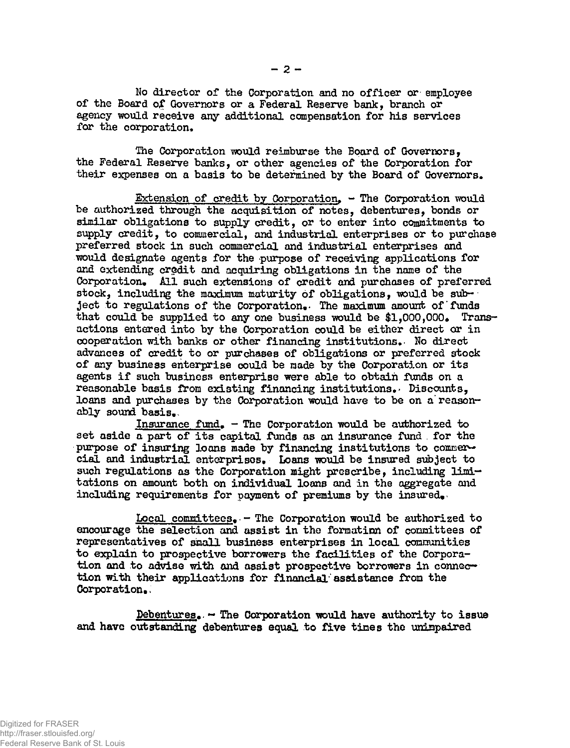**No director of the Corporation and no officer or employee of the Board of Governors or a Federal Reserve bank, branch or agency would receive any additional compensation for his services for the corporation.** 

**The Corporation would reimburse the Board of Governors, the Federal Reserve banks, or other agencies of the Corporation for their expenses on a basis to be determined by the Board of Governors.** 

**Extension of credit by Corporation. - The Corporation would be authorized through the acquisition of notes, debentures, bonds or similar obligations to supply credit, or to enter into commitments to supply credit, to commercial, and industrial enterprises or to purchase preferred stock in such commercial and industrial enterprises and would designate agents for the purpose of receiving applications for and extending credit and acquiring obligations in the name of the Corporation. All such extensions of credit and purchases of preferred stock, including the maximum maturity of obligations, would be subject to regulations of the Corporation.\* The maximum amount of funds**  that could be supplied to any one business would be \$1,000,000. Trans**actions entered into by the Corporation could be either direct or in cooperation with banks or other financing institutions.- No direct advances of credit to or purchases of obligations or preferred stock of any business enterprise could be made by the Corporation or its agents if such business enterprise were able to obtain funds on a reasonable basis** *from* **existing financing institutions.- Discounts,**  loans and purchases by the Corporation would have to be on a reason**ably sound basis..** 

**Insurance fund. - The Corporation would be authorized to set aside a part of its capital funds as an insurance fund . for the**  purpose of insuring loans made by financing institutions to commer**cial and industrial enterprises. Loans would be insured subject to such regulations as the Corporation might prescribe, including limitations on amount both on individual loans and in the aggregate and including requirements for payment of premiums by the insured^** 

Local committees. - The Corporation would be authorized to **encourage the selection and assist in the formation of committees of representatives of small business enterprises in local communities to explain to prospective borrowers the facilities of the Corporation and to advise with and assist prospective borrowers in connecr\* tion with their applications for financial''assistance from the Corporation.,** 

Debentures. - The Corporation would have authority to issue **and have outstanding debentures equal to five times the unimpaired**